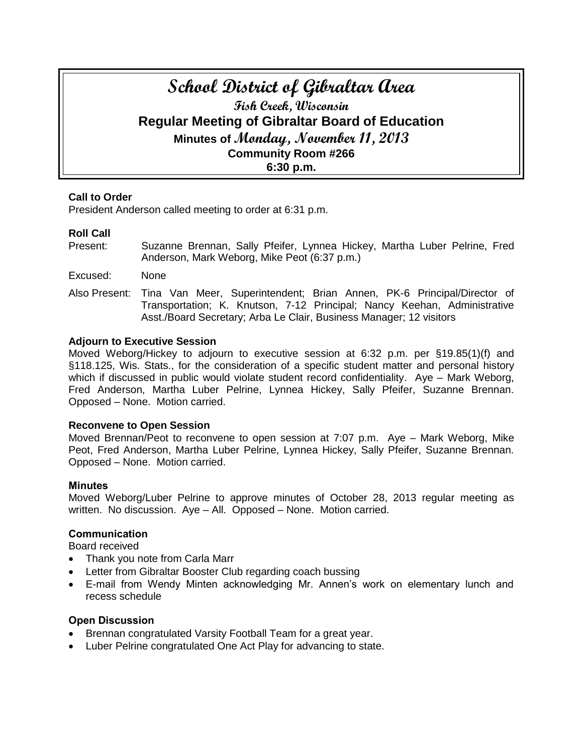# **School District of Gibraltar Area Fish Creek, Wisconsin Regular Meeting of Gibraltar Board of Education Minutes of Monday, November 11, 2013 Community Room #266 6:30 p.m.**

## **Call to Order**

President Anderson called meeting to order at 6:31 p.m.

# **Roll Call**

- Present: Suzanne Brennan, Sally Pfeifer, Lynnea Hickey, Martha Luber Pelrine, Fred Anderson, Mark Weborg, Mike Peot (6:37 p.m.)
- Excused: None
- Also Present: Tina Van Meer, Superintendent; Brian Annen, PK-6 Principal/Director of Transportation; K. Knutson, 7-12 Principal; Nancy Keehan, Administrative Asst./Board Secretary; Arba Le Clair, Business Manager; 12 visitors

### **Adjourn to Executive Session**

Moved Weborg/Hickey to adjourn to executive session at 6:32 p.m. per §19.85(1)(f) and §118.125, Wis. Stats., for the consideration of a specific student matter and personal history which if discussed in public would violate student record confidentiality. Aye – Mark Weborg, Fred Anderson, Martha Luber Pelrine, Lynnea Hickey, Sally Pfeifer, Suzanne Brennan. Opposed – None. Motion carried.

#### **Reconvene to Open Session**

Moved Brennan/Peot to reconvene to open session at 7:07 p.m. Aye – Mark Weborg, Mike Peot, Fred Anderson, Martha Luber Pelrine, Lynnea Hickey, Sally Pfeifer, Suzanne Brennan. Opposed – None. Motion carried.

#### **Minutes**

Moved Weborg/Luber Pelrine to approve minutes of October 28, 2013 regular meeting as written. No discussion. Aye – All. Opposed – None. Motion carried.

## **Communication**

Board received

- Thank you note from Carla Marr
- Letter from Gibraltar Booster Club regarding coach bussing
- E-mail from Wendy Minten acknowledging Mr. Annen's work on elementary lunch and recess schedule

## **Open Discussion**

- Brennan congratulated Varsity Football Team for a great year.
- Luber Pelrine congratulated One Act Play for advancing to state.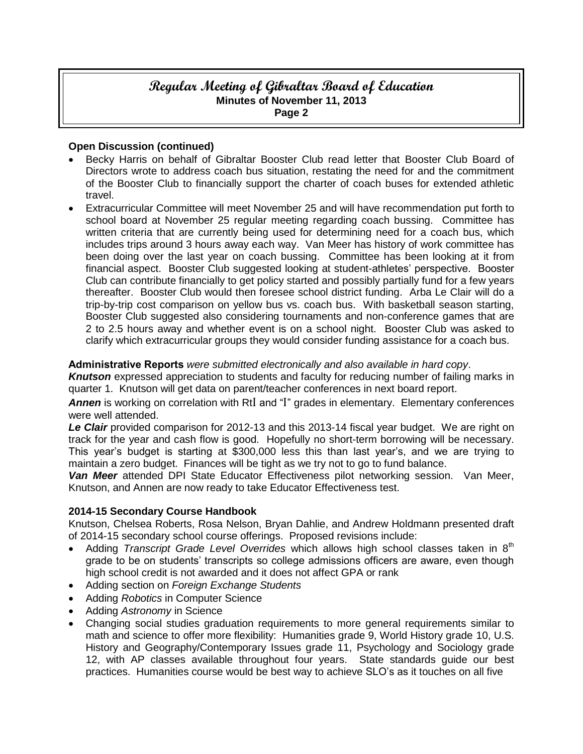# **Regular Meeting of Gibraltar Board of Education Minutes of November 11, 2013 Page 2**

## **Open Discussion (continued)**

- Becky Harris on behalf of Gibraltar Booster Club read letter that Booster Club Board of Directors wrote to address coach bus situation, restating the need for and the commitment of the Booster Club to financially support the charter of coach buses for extended athletic travel.
- Extracurricular Committee will meet November 25 and will have recommendation put forth to school board at November 25 regular meeting regarding coach bussing. Committee has written criteria that are currently being used for determining need for a coach bus, which includes trips around 3 hours away each way. Van Meer has history of work committee has been doing over the last year on coach bussing. Committee has been looking at it from financial aspect. Booster Club suggested looking at student-athletes' perspective. Booster Club can contribute financially to get policy started and possibly partially fund for a few years thereafter. Booster Club would then foresee school district funding. Arba Le Clair will do a trip-by-trip cost comparison on yellow bus vs. coach bus. With basketball season starting, Booster Club suggested also considering tournaments and non-conference games that are 2 to 2.5 hours away and whether event is on a school night. Booster Club was asked to clarify which extracurricular groups they would consider funding assistance for a coach bus.

## **Administrative Reports** *were submitted electronically and also available in hard copy*.

*Knutson* expressed appreciation to students and faculty for reducing number of failing marks in quarter 1. Knutson will get data on parent/teacher conferences in next board report.

Annen is working on correlation with RtI and "I" grades in elementary. Elementary conferences were well attended.

Le Clair provided comparison for 2012-13 and this 2013-14 fiscal year budget. We are right on track for the year and cash flow is good. Hopefully no short-term borrowing will be necessary. This year's budget is starting at \$300,000 less this than last year's, and we are trying to maintain a zero budget. Finances will be tight as we try not to go to fund balance.

*Van Meer* attended DPI State Educator Effectiveness pilot networking session. Van Meer, Knutson, and Annen are now ready to take Educator Effectiveness test.

#### **2014-15 Secondary Course Handbook**

Knutson, Chelsea Roberts, Rosa Nelson, Bryan Dahlie, and Andrew Holdmann presented draft of 2014-15 secondary school course offerings. Proposed revisions include:

- Adding *Transcript Grade Level Overrides* which allows high school classes taken in 8<sup>th</sup> grade to be on students' transcripts so college admissions officers are aware, even though high school credit is not awarded and it does not affect GPA or rank
- Adding section on *Foreign Exchange Students*
- Adding *Robotics* in Computer Science
- Adding *Astronomy* in Science
- Changing social studies graduation requirements to more general requirements similar to math and science to offer more flexibility: Humanities grade 9, World History grade 10, U.S. History and Geography/Contemporary Issues grade 11, Psychology and Sociology grade 12, with AP classes available throughout four years. State standards guide our best practices. Humanities course would be best way to achieve SLO's as it touches on all five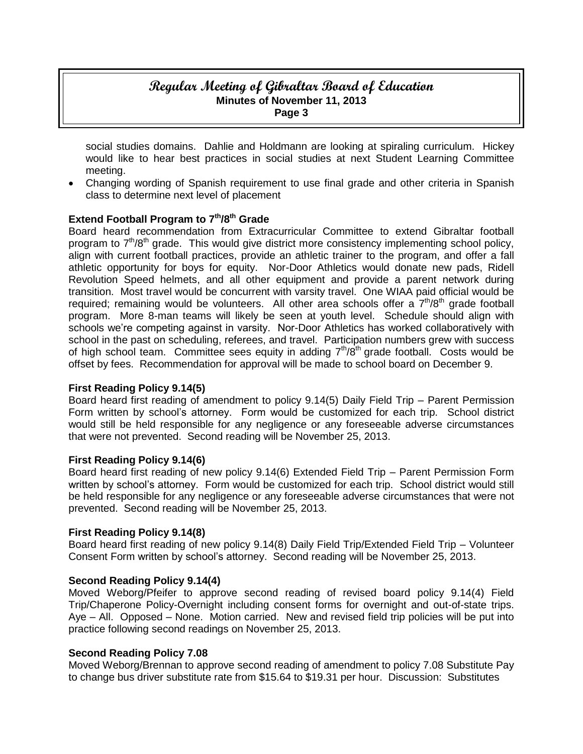# **Regular Meeting of Gibraltar Board of Education Minutes of November 11, 2013 Page 3**

social studies domains. Dahlie and Holdmann are looking at spiraling curriculum. Hickey would like to hear best practices in social studies at next Student Learning Committee meeting.

 Changing wording of Spanish requirement to use final grade and other criteria in Spanish class to determine next level of placement

## **Extend Football Program to 7th/8 th Grade**

Board heard recommendation from Extracurricular Committee to extend Gibraltar football program to 7<sup>th</sup>/8<sup>th</sup> grade. This would give district more consistency implementing school policy, align with current football practices, provide an athletic trainer to the program, and offer a fall athletic opportunity for boys for equity. Nor-Door Athletics would donate new pads, Ridell Revolution Speed helmets, and all other equipment and provide a parent network during transition. Most travel would be concurrent with varsity travel. One WIAA paid official would be required; remaining would be volunteers. All other area schools offer a  $7<sup>th</sup>/8<sup>th</sup>$  grade football program. More 8-man teams will likely be seen at youth level. Schedule should align with schools we're competing against in varsity. Nor-Door Athletics has worked collaboratively with school in the past on scheduling, referees, and travel. Participation numbers grew with success of high school team. Committee sees equity in adding  $7<sup>th</sup>/8<sup>th</sup>$  grade football. Costs would be offset by fees. Recommendation for approval will be made to school board on December 9.

## **First Reading Policy 9.14(5)**

Board heard first reading of amendment to policy 9.14(5) Daily Field Trip – Parent Permission Form written by school's attorney. Form would be customized for each trip. School district would still be held responsible for any negligence or any foreseeable adverse circumstances that were not prevented. Second reading will be November 25, 2013.

## **First Reading Policy 9.14(6)**

Board heard first reading of new policy 9.14(6) Extended Field Trip – Parent Permission Form written by school's attorney. Form would be customized for each trip. School district would still be held responsible for any negligence or any foreseeable adverse circumstances that were not prevented. Second reading will be November 25, 2013.

## **First Reading Policy 9.14(8)**

Board heard first reading of new policy 9.14(8) Daily Field Trip/Extended Field Trip – Volunteer Consent Form written by school's attorney. Second reading will be November 25, 2013.

## **Second Reading Policy 9.14(4)**

Moved Weborg/Pfeifer to approve second reading of revised board policy 9.14(4) Field Trip/Chaperone Policy-Overnight including consent forms for overnight and out-of-state trips. Aye – All. Opposed – None. Motion carried. New and revised field trip policies will be put into practice following second readings on November 25, 2013.

## **Second Reading Policy 7.08**

Moved Weborg/Brennan to approve second reading of amendment to policy 7.08 Substitute Pay to change bus driver substitute rate from \$15.64 to \$19.31 per hour. Discussion: Substitutes